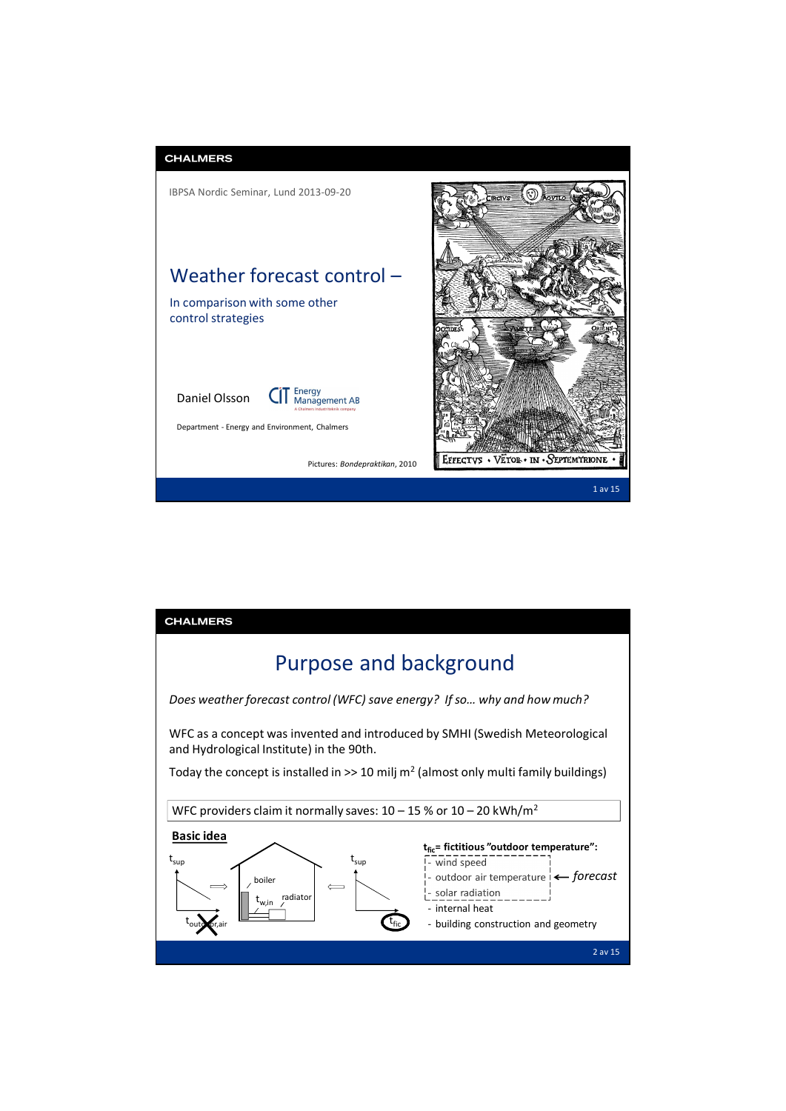

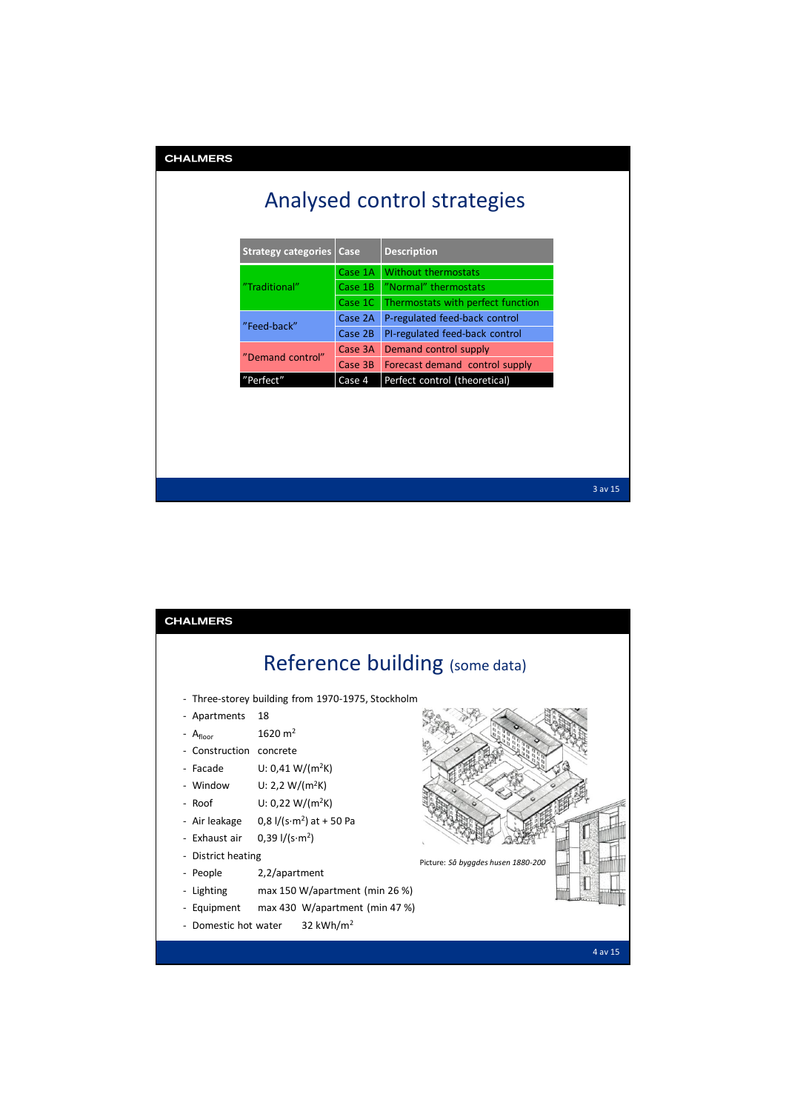| <b>CHALMERS</b>             |                            |         |                                   |             |  |  |
|-----------------------------|----------------------------|---------|-----------------------------------|-------------|--|--|
| Analysed control strategies |                            |         |                                   |             |  |  |
|                             | <b>Strategy categories</b> | Case    | <b>Description</b>                |             |  |  |
|                             | "Traditional"              | Case 1A | <b>Without thermostats</b>        |             |  |  |
|                             |                            | Case 1B | "Normal" thermostats              |             |  |  |
|                             |                            | Case 1C | Thermostats with perfect function |             |  |  |
|                             | "Feed-back"                | Case 2A | P-regulated feed-back control     |             |  |  |
|                             |                            | Case 2B | PI-regulated feed-back control    |             |  |  |
|                             | "Demand control"           | Case 3A | Demand control supply             |             |  |  |
|                             |                            | Case 3B | Forecast demand control supply    |             |  |  |
|                             | "Perfect"                  | Case 4  | Perfect control (theoretical)     |             |  |  |
|                             |                            |         |                                   |             |  |  |
|                             |                            |         |                                   |             |  |  |
|                             |                            |         |                                   |             |  |  |
|                             |                            |         |                                   |             |  |  |
|                             |                            |         |                                   |             |  |  |
|                             |                            |         |                                   | $3$ av $15$ |  |  |

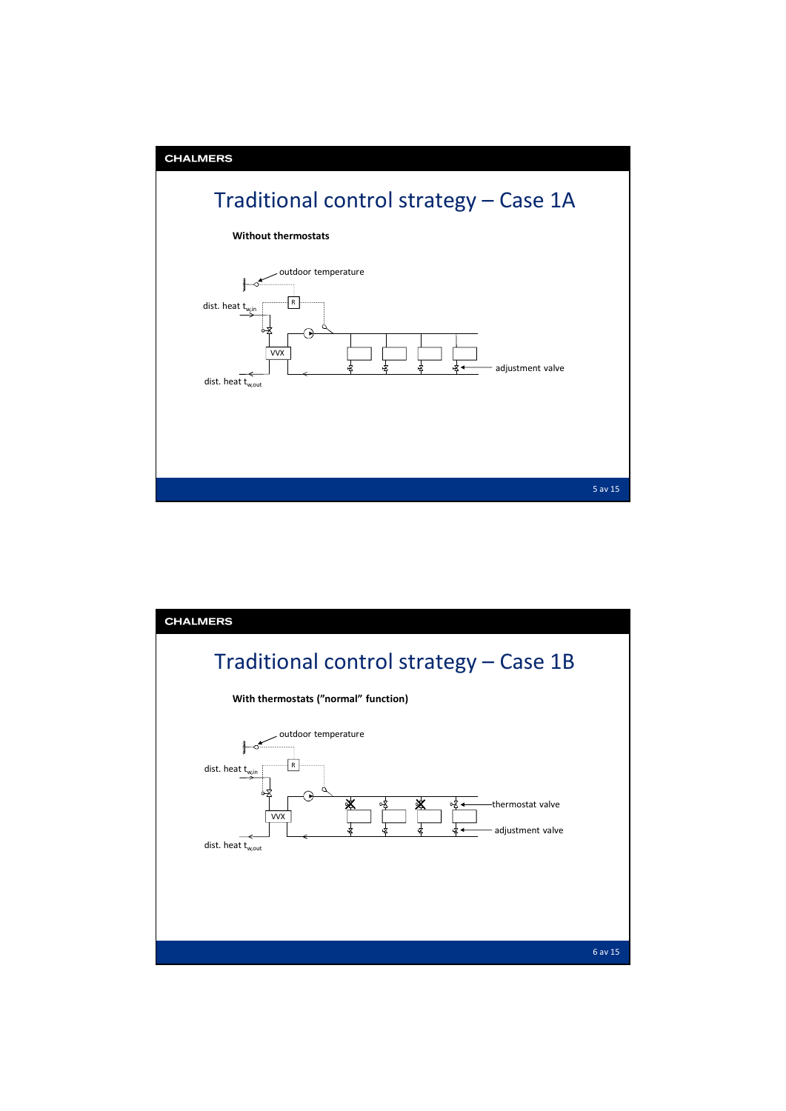

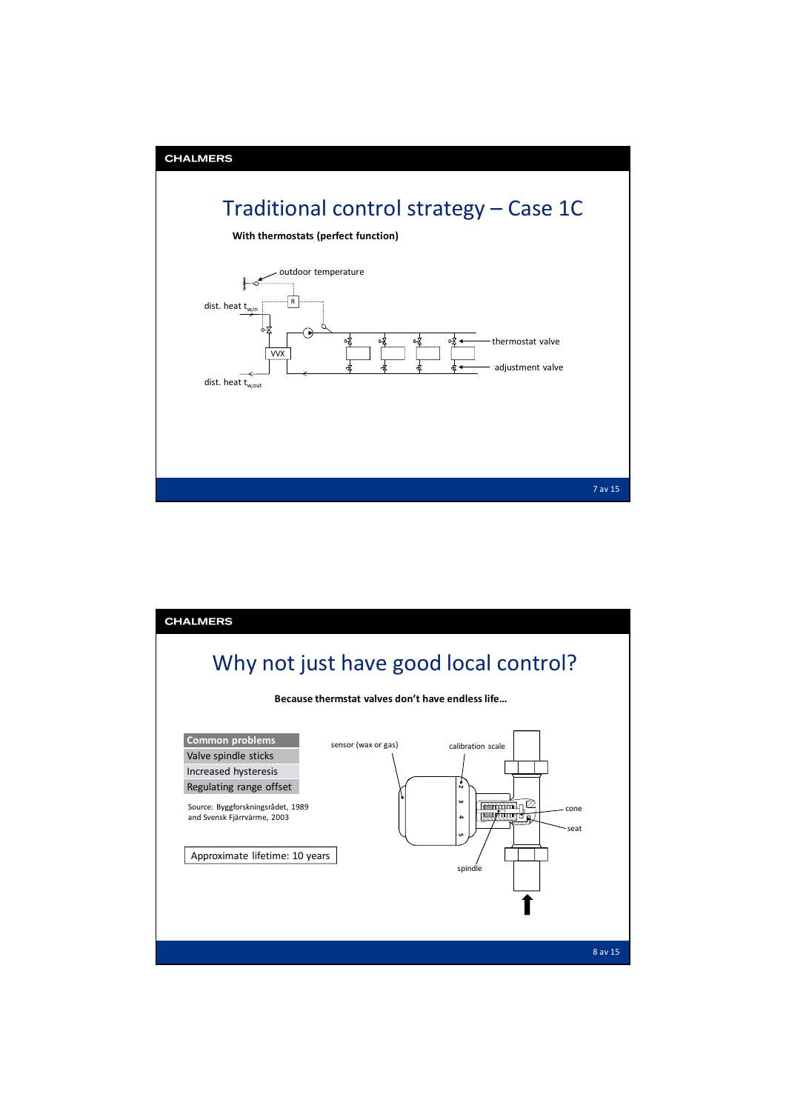

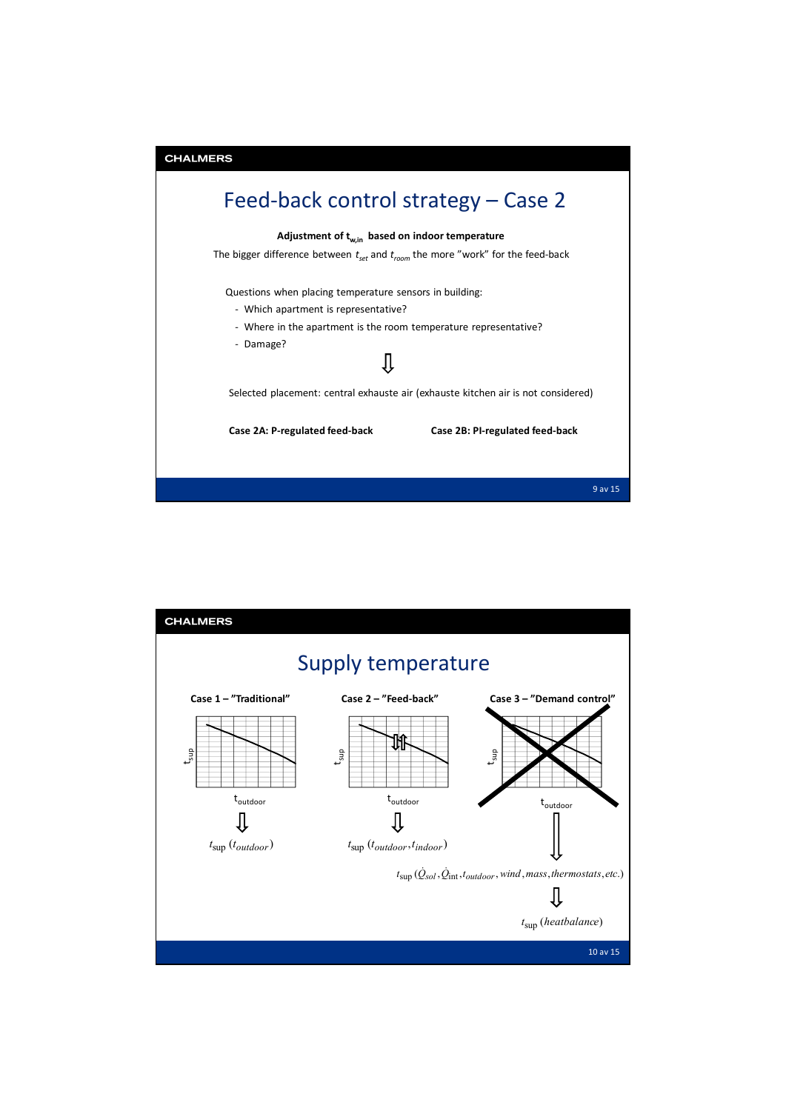

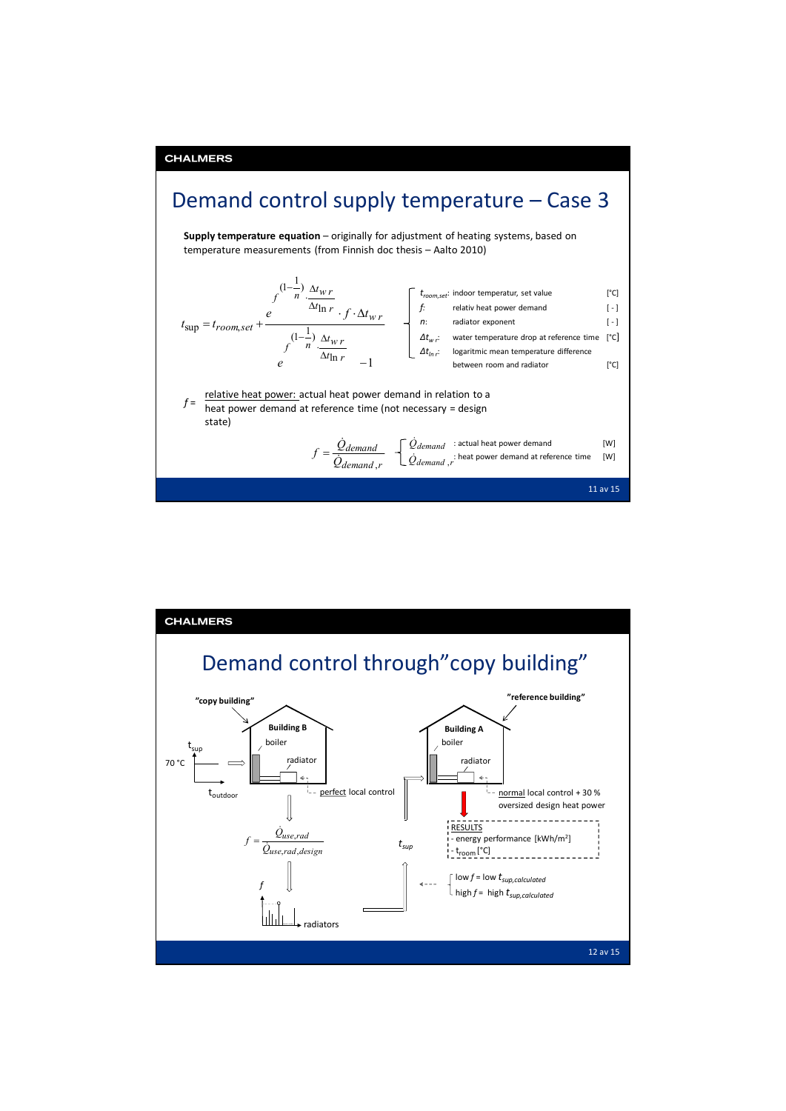

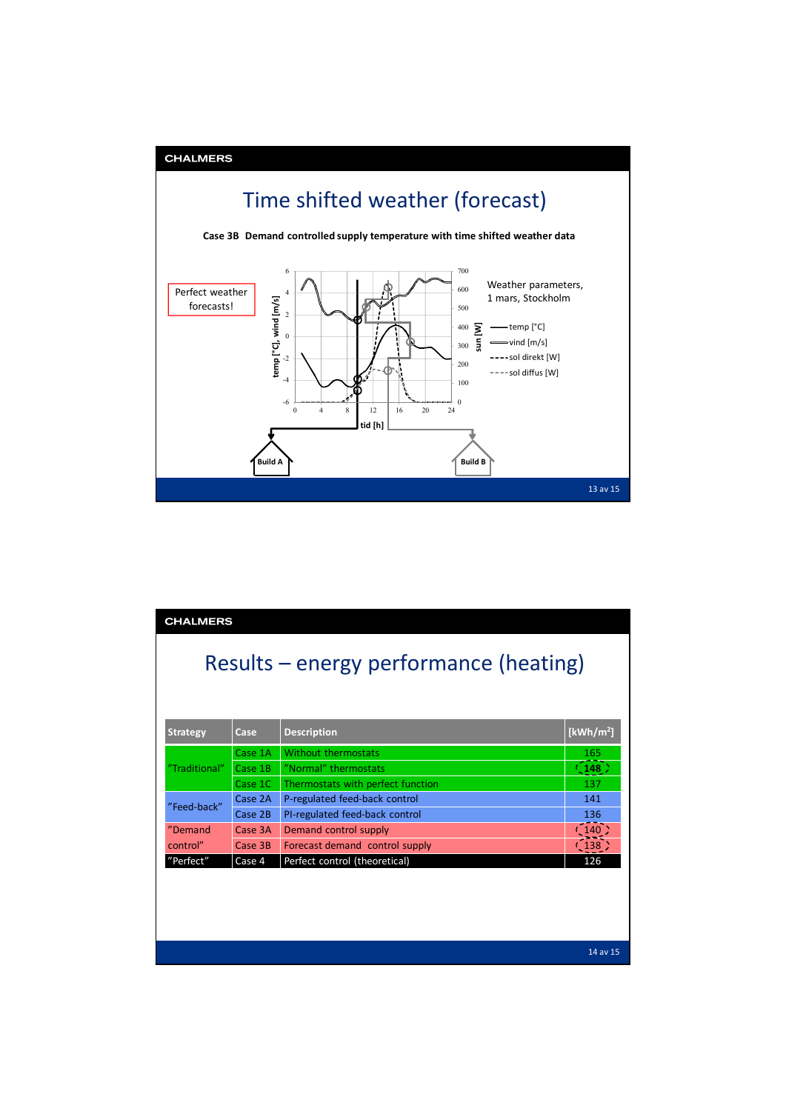

| <b>CHALMERS</b>                        |         |                                   |                       |  |  |  |
|----------------------------------------|---------|-----------------------------------|-----------------------|--|--|--|
| Results – energy performance (heating) |         |                                   |                       |  |  |  |
| <b>Strategy</b>                        | Case    | <b>Description</b>                | [kWh/m <sup>2</sup> ] |  |  |  |
| "Traditional"                          | Case 1A | Without thermostats               | 165                   |  |  |  |
|                                        | Case 1B | "Normal" thermostats              | (148)                 |  |  |  |
|                                        | Case 1C | Thermostats with perfect function | 137                   |  |  |  |
| "Feed-back"                            | Case 2A | P-regulated feed-back control     | 141                   |  |  |  |
|                                        | Case 2B | PI-regulated feed-back control    | 136                   |  |  |  |
| "Demand                                | Case 3A | Demand control supply             |                       |  |  |  |
| control"                               | Case 3B | Forecast demand control supply    |                       |  |  |  |
| "Perfect"                              | Case 4  | Perfect control (theoretical)     | 126                   |  |  |  |
|                                        |         |                                   |                       |  |  |  |
|                                        |         |                                   |                       |  |  |  |
|                                        |         |                                   |                       |  |  |  |
|                                        |         |                                   | 14 av 15              |  |  |  |